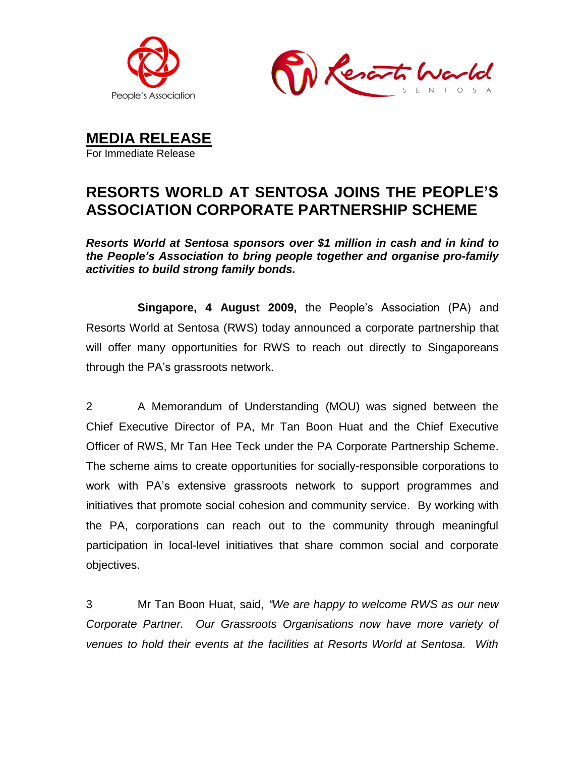



**MEDIA RELEASE** For Immediate Release

# **RESORTS WORLD AT SENTOSA JOINS THE PEOPLE'S ASSOCIATION CORPORATE PARTNERSHIP SCHEME**

*Resorts World at Sentosa sponsors over \$1 million in cash and in kind to the People's Association to bring people together and organise pro-family activities to build strong family bonds.*

**Singapore, 4 August 2009,** the People's Association (PA) and Resorts World at Sentosa (RWS) today announced a corporate partnership that will offer many opportunities for RWS to reach out directly to Singaporeans through the PA's grassroots network.

2 A Memorandum of Understanding (MOU) was signed between the Chief Executive Director of PA, Mr Tan Boon Huat and the Chief Executive Officer of RWS, Mr Tan Hee Teck under the PA Corporate Partnership Scheme. The scheme aims to create opportunities for socially-responsible corporations to work with PA's extensive grassroots network to support programmes and initiatives that promote social cohesion and community service. By working with the PA, corporations can reach out to the community through meaningful participation in local-level initiatives that share common social and corporate objectives.

3 Mr Tan Boon Huat, said, *"We are happy to welcome RWS as our new Corporate Partner. Our Grassroots Organisations now have more variety of venues to hold their events at the facilities at Resorts World at Sentosa. With*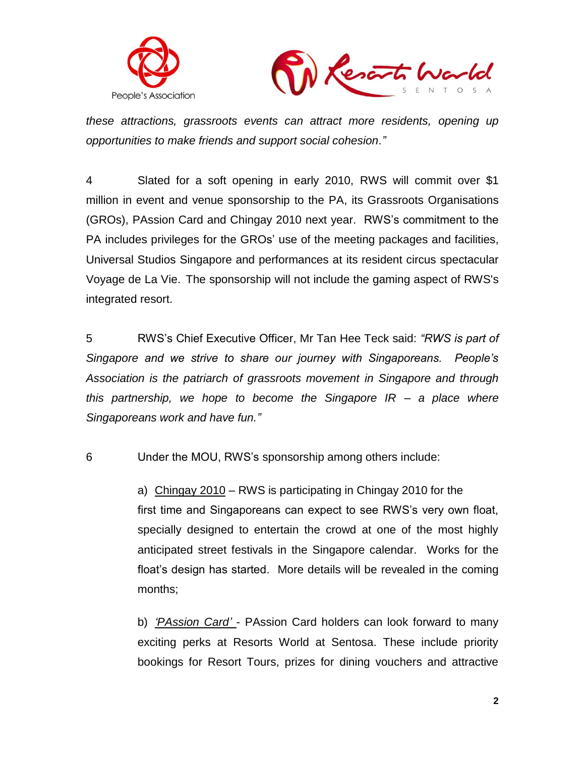



*these attractions, grassroots events can attract more residents, opening up opportunities to make friends and support social cohesion."*

4 Slated for a soft opening in early 2010, RWS will commit over \$1 million in event and venue sponsorship to the PA, its Grassroots Organisations (GROs), PAssion Card and Chingay 2010 next year. RWS's commitment to the PA includes privileges for the GROs' use of the meeting packages and facilities, Universal Studios Singapore and performances at its resident circus spectacular Voyage de La Vie. The sponsorship will not include the gaming aspect of RWS's integrated resort.

5 RWS's Chief Executive Officer, Mr Tan Hee Teck said: *"RWS is part of Singapore and we strive to share our journey with Singaporeans. People"s Association is the patriarch of grassroots movement in Singapore and through this partnership, we hope to become the Singapore IR – a place where Singaporeans work and have fun."*

6 Under the MOU, RWS's sponsorship among others include:

a) Chingay 2010 – RWS is participating in Chingay 2010 for the first time and Singaporeans can expect to see RWS's very own float, specially designed to entertain the crowd at one of the most highly anticipated street festivals in the Singapore calendar. Works for the float's design has started. More details will be revealed in the coming months;

b) *"PAssion Card"* - PAssion Card holders can look forward to many exciting perks at Resorts World at Sentosa. These include priority bookings for Resort Tours, prizes for dining vouchers and attractive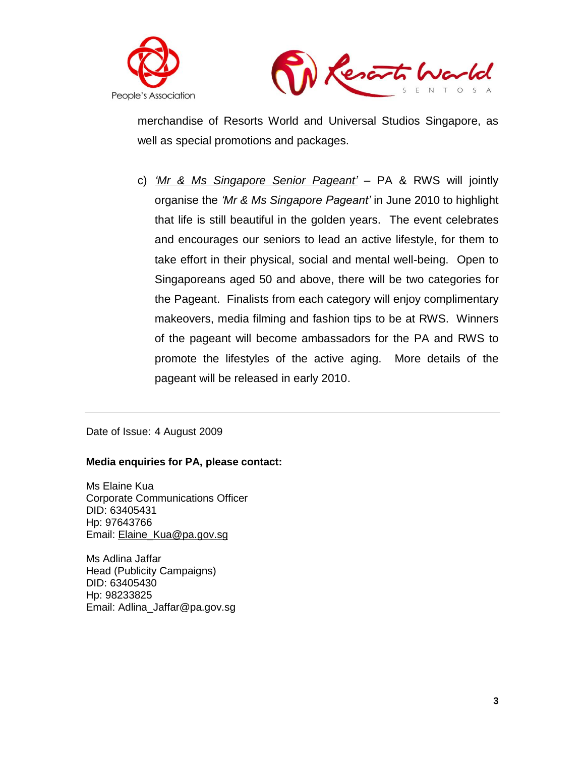



merchandise of Resorts World and Universal Studios Singapore, as well as special promotions and packages.

c) *"Mr & Ms Singapore Senior Pageant"* – PA & RWS will jointly organise the *"Mr & Ms Singapore Pageant"* in June 2010 to highlight that life is still beautiful in the golden years. The event celebrates and encourages our seniors to lead an active lifestyle, for them to take effort in their physical, social and mental well-being. Open to Singaporeans aged 50 and above, there will be two categories for the Pageant. Finalists from each category will enjoy complimentary makeovers, media filming and fashion tips to be at RWS. Winners of the pageant will become ambassadors for the PA and RWS to promote the lifestyles of the active aging. More details of the pageant will be released in early 2010.

Date of Issue: 4 August 2009

## **Media enquiries for PA, please contact:**

Ms Elaine Kua Corporate Communications Officer DID: 63405431 Hp: 97643766 Email: [Elaine\\_Kua@pa.gov.sg](mailto:Elaine_Kua@pa.gov.sg)

Ms Adlina Jaffar Head (Publicity Campaigns) DID: 63405430 Hp: 98233825 Email: Adlina\_Jaffar@pa.gov.sg